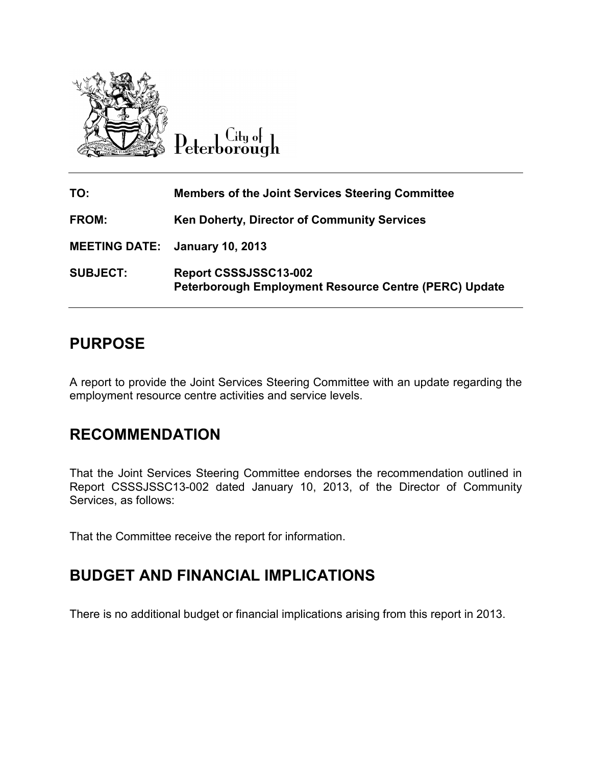

Peterborough

| TO:                                   | <b>Members of the Joint Services Steering Committee</b>                        |
|---------------------------------------|--------------------------------------------------------------------------------|
| <b>FROM:</b>                          | <b>Ken Doherty, Director of Community Services</b>                             |
| <b>MEETING DATE: January 10, 2013</b> |                                                                                |
| <b>SUBJECT:</b>                       | Report CSSSJSSC13-002<br>Peterborough Employment Resource Centre (PERC) Update |

# **PURPOSE**

A report to provide the Joint Services Steering Committee with an update regarding the employment resource centre activities and service levels.

# **RECOMMENDATION**

That the Joint Services Steering Committee endorses the recommendation outlined in Report CSSSJSSC13-002 dated January 10, 2013, of the Director of Community Services, as follows:

That the Committee receive the report for information.

## **BUDGET AND FINANCIAL IMPLICATIONS**

There is no additional budget or financial implications arising from this report in 2013.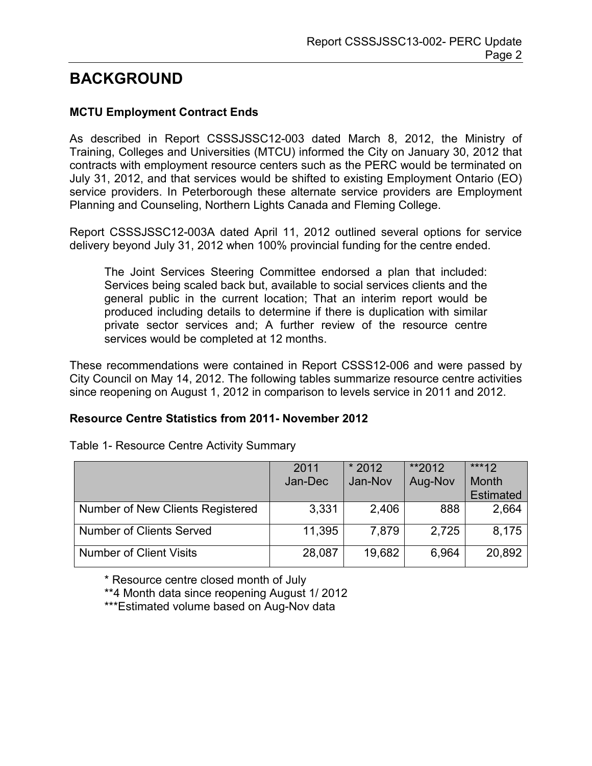# **BACKGROUND**

## **MCTU Employment Contract Ends**

As described in Report CSSSJSSC12-003 dated March 8, 2012, the Ministry of Training, Colleges and Universities (MTCU) informed the City on January 30, 2012 that contracts with employment resource centers such as the PERC would be terminated on July 31, 2012, and that services would be shifted to existing Employment Ontario (EO) service providers. In Peterborough these alternate service providers are Employment Planning and Counseling, Northern Lights Canada and Fleming College.

Report CSSSJSSC12-003A dated April 11, 2012 outlined several options for service delivery beyond July 31, 2012 when 100% provincial funding for the centre ended.

The Joint Services Steering Committee endorsed a plan that included: Services being scaled back but, available to social services clients and the general public in the current location; That an interim report would be produced including details to determine if there is duplication with similar private sector services and; A further review of the resource centre services would be completed at 12 months.

These recommendations were contained in Report CSSS12-006 and were passed by City Council on May 14, 2012. The following tables summarize resource centre activities since reopening on August 1, 2012 in comparison to levels service in 2011 and 2012.

## **Resource Centre Statistics from 2011- November 2012**

|                                  | 2011    | $*2012$ | **2012  | $***12$          |
|----------------------------------|---------|---------|---------|------------------|
|                                  | Jan-Dec | Jan-Nov | Aug-Nov | Month            |
|                                  |         |         |         | <b>Estimated</b> |
| Number of New Clients Registered | 3,331   | 2,406   | 888     | 2,664            |
| <b>Number of Clients Served</b>  | 11,395  | 7,879   | 2,725   | 8,175            |
| <b>Number of Client Visits</b>   | 28,087  | 19,682  | 6,964   | 20,892           |

Table 1- Resource Centre Activity Summary

\* Resource centre closed month of July

\*\*4 Month data since reopening August 1/ 2012

\*\*\*Estimated volume based on Aug-Nov data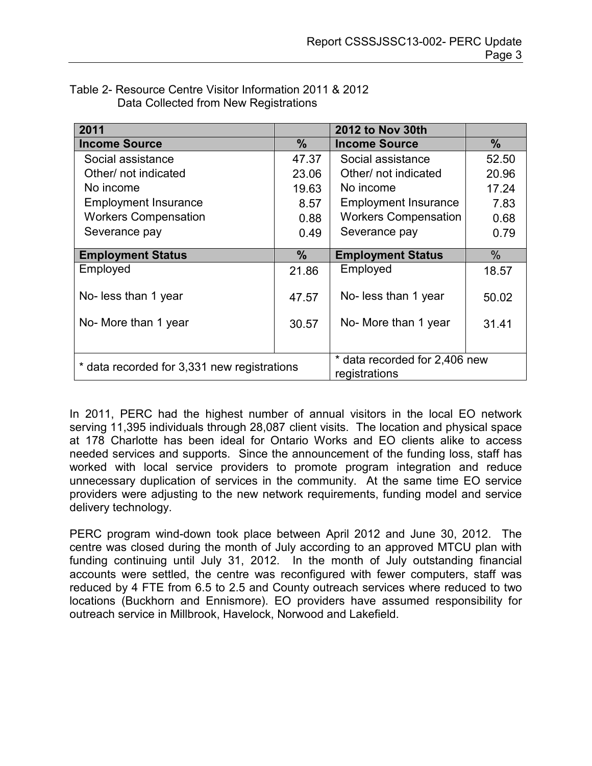| 2011                                        |               | <b>2012 to Nov 30th</b>                        |       |
|---------------------------------------------|---------------|------------------------------------------------|-------|
| <b>Income Source</b>                        | $\%$          | <b>Income Source</b>                           | $\%$  |
| Social assistance                           | 47.37         | Social assistance                              | 52.50 |
| Other/ not indicated                        | 23.06         | Other/ not indicated                           | 20.96 |
| No income                                   | 19.63         | No income                                      | 17.24 |
| <b>Employment Insurance</b>                 | 8.57          | <b>Employment Insurance</b>                    | 7.83  |
| <b>Workers Compensation</b>                 | 0.88          | <b>Workers Compensation</b>                    | 0.68  |
| Severance pay                               | 0.49          | Severance pay                                  | 0.79  |
|                                             |               |                                                |       |
| <b>Employment Status</b>                    | $\frac{9}{6}$ | <b>Employment Status</b>                       | $\%$  |
| Employed                                    | 21.86         | Employed                                       | 18.57 |
| No- less than 1 year                        | 47.57         | No- less than 1 year                           | 50.02 |
| No- More than 1 year                        | 30.57         | No- More than 1 year                           | 31.41 |
|                                             |               |                                                |       |
| * data recorded for 3,331 new registrations |               | * data recorded for 2,406 new<br>registrations |       |

| Table 2- Resource Centre Visitor Information 2011 & 2012 |
|----------------------------------------------------------|
| Data Collected from New Registrations                    |

In 2011, PERC had the highest number of annual visitors in the local EO network serving 11,395 individuals through 28,087 client visits. The location and physical space at 178 Charlotte has been ideal for Ontario Works and EO clients alike to access needed services and supports. Since the announcement of the funding loss, staff has worked with local service providers to promote program integration and reduce unnecessary duplication of services in the community. At the same time EO service providers were adjusting to the new network requirements, funding model and service delivery technology.

PERC program wind-down took place between April 2012 and June 30, 2012. The centre was closed during the month of July according to an approved MTCU plan with funding continuing until July 31, 2012. In the month of July outstanding financial accounts were settled, the centre was reconfigured with fewer computers, staff was reduced by 4 FTE from 6.5 to 2.5 and County outreach services where reduced to two locations (Buckhorn and Ennismore). EO providers have assumed responsibility for outreach service in Millbrook, Havelock, Norwood and Lakefield.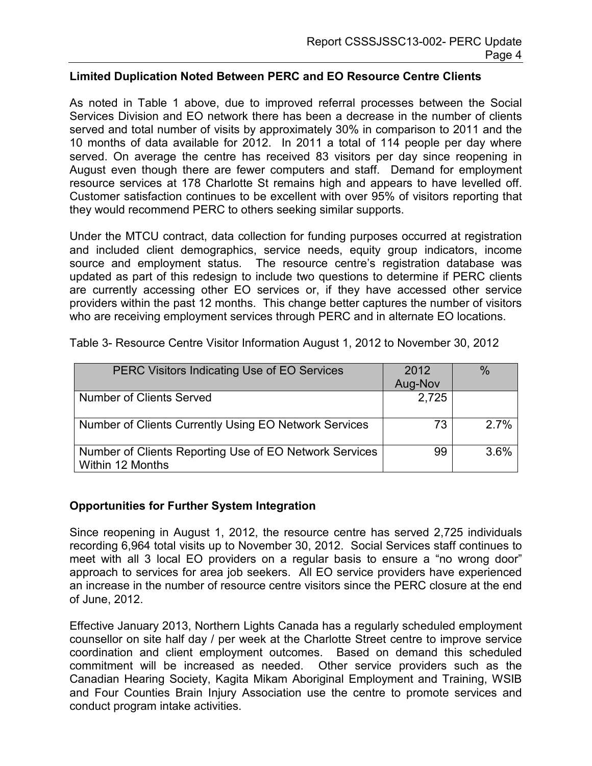#### **Limited Duplication Noted Between PERC and EO Resource Centre Clients**

As noted in Table 1 above, due to improved referral processes between the Social Services Division and EO network there has been a decrease in the number of clients served and total number of visits by approximately 30% in comparison to 2011 and the 10 months of data available for 2012. In 2011 a total of 114 people per day where served. On average the centre has received 83 visitors per day since reopening in August even though there are fewer computers and staff. Demand for employment resource services at 178 Charlotte St remains high and appears to have levelled off. Customer satisfaction continues to be excellent with over 95% of visitors reporting that they would recommend PERC to others seeking similar supports.

Under the MTCU contract, data collection for funding purposes occurred at registration and included client demographics, service needs, equity group indicators, income source and employment status. The resource centre's registration database was updated as part of this redesign to include two questions to determine if PERC clients are currently accessing other EO services or, if they have accessed other service providers within the past 12 months. This change better captures the number of visitors who are receiving employment services through PERC and in alternate EO locations.

| PERC Visitors Indicating Use of EO Services                                | 2012    | $\%$ |
|----------------------------------------------------------------------------|---------|------|
|                                                                            | Aug-Nov |      |
| <b>Number of Clients Served</b>                                            | 2,725   |      |
| Number of Clients Currently Using EO Network Services                      | 73      | 2.7% |
| Number of Clients Reporting Use of EO Network Services<br>Within 12 Months | 99      | 3.6% |

Table 3- Resource Centre Visitor Information August 1, 2012 to November 30, 2012

## **Opportunities for Further System Integration**

Since reopening in August 1, 2012, the resource centre has served 2,725 individuals recording 6,964 total visits up to November 30, 2012. Social Services staff continues to meet with all 3 local EO providers on a regular basis to ensure a "no wrong door" approach to services for area job seekers. All EO service providers have experienced an increase in the number of resource centre visitors since the PERC closure at the end of June, 2012.

Effective January 2013, Northern Lights Canada has a regularly scheduled employment counsellor on site half day / per week at the Charlotte Street centre to improve service coordination and client employment outcomes. Based on demand this scheduled commitment will be increased as needed. Other service providers such as the Canadian Hearing Society, Kagita Mikam Aboriginal Employment and Training, WSIB and Four Counties Brain Injury Association use the centre to promote services and conduct program intake activities.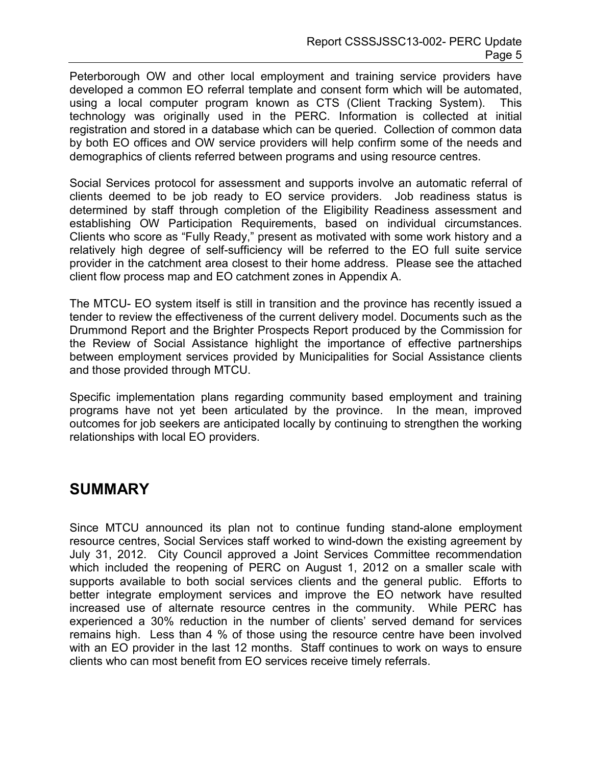Peterborough OW and other local employment and training service providers have developed a common EO referral template and consent form which will be automated, using a local computer program known as CTS (Client Tracking System). This technology was originally used in the PERC. Information is collected at initial registration and stored in a database which can be queried. Collection of common data by both EO offices and OW service providers will help confirm some of the needs and demographics of clients referred between programs and using resource centres.

Social Services protocol for assessment and supports involve an automatic referral of clients deemed to be job ready to EO service providers. Job readiness status is determined by staff through completion of the Eligibility Readiness assessment and establishing OW Participation Requirements, based on individual circumstances. Clients who score as "Fully Ready," present as motivated with some work history and a relatively high degree of self-sufficiency will be referred to the EO full suite service provider in the catchment area closest to their home address. Please see the attached client flow process map and EO catchment zones in Appendix A.

The MTCU- EO system itself is still in transition and the province has recently issued a tender to review the effectiveness of the current delivery model. Documents such as the Drummond Report and the Brighter Prospects Report produced by the Commission for the Review of Social Assistance highlight the importance of effective partnerships between employment services provided by Municipalities for Social Assistance clients and those provided through MTCU.

Specific implementation plans regarding community based employment and training programs have not yet been articulated by the province. In the mean, improved outcomes for job seekers are anticipated locally by continuing to strengthen the working relationships with local EO providers.

## **SUMMARY**

Since MTCU announced its plan not to continue funding stand-alone employment resource centres, Social Services staff worked to wind-down the existing agreement by July 31, 2012. City Council approved a Joint Services Committee recommendation which included the reopening of PERC on August 1, 2012 on a smaller scale with supports available to both social services clients and the general public. Efforts to better integrate employment services and improve the EO network have resulted increased use of alternate resource centres in the community. While PERC has experienced a 30% reduction in the number of clients' served demand for services remains high. Less than 4 % of those using the resource centre have been involved with an EO provider in the last 12 months. Staff continues to work on ways to ensure clients who can most benefit from EO services receive timely referrals.